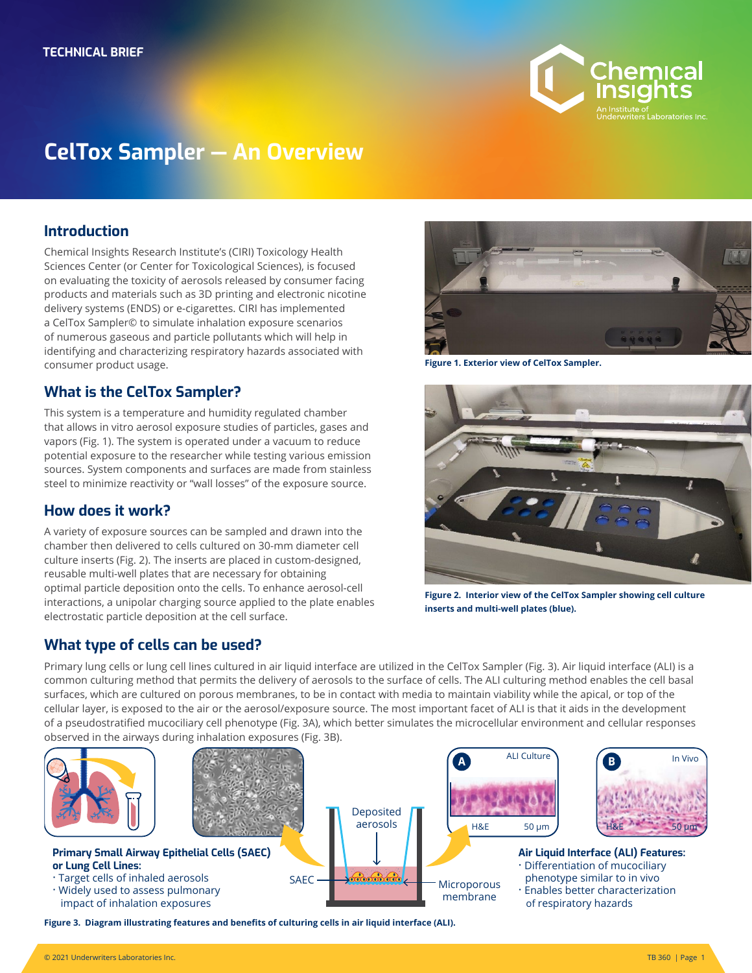

# **CelTox Sampler — An Overview**

### **Introduction**

Chemical Insights Research Institute's (CIRI) Toxicology Health Sciences Center (or Center for Toxicological Sciences), is focused on evaluating the toxicity of aerosols released by consumer facing products and materials such as 3D printing and electronic nicotine delivery systems (ENDS) or e-cigarettes. CIRI has implemented a CelTox Sampler© to simulate inhalation exposure scenarios of numerous gaseous and particle pollutants which will help in identifying and characterizing respiratory hazards associated with consumer product usage.

### **What is the CelTox Sampler?**

This system is a temperature and humidity regulated chamber that allows in vitro aerosol exposure studies of particles, gases and vapors (Fig. 1). The system is operated under a vacuum to reduce potential exposure to the researcher while testing various emission sources. System components and surfaces are made from stainless steel to minimize reactivity or "wall losses" of the exposure source.

### **How does it work?**

A variety of exposure sources can be sampled and drawn into the chamber then delivered to cells cultured on 30-mm diameter cell culture inserts (Fig. 2). The inserts are placed in custom-designed, reusable multi-well plates that are necessary for obtaining optimal particle deposition onto the cells. To enhance aerosol-cell interactions, a unipolar charging source applied to the plate enables electrostatic particle deposition at the cell surface.

### **What type of cells can be used?**



**Figure 1. Exterior view of CelTox Sampler.**



**Figure 2. Interior view of the CelTox Sampler showing cell culture**<br>. **inserts and multi-well plates (blue).**

**Air Liquid Interface (ALI) Features:** � Differentiation of mucociliary phenotype similar to in vivo � Enables better characterization

ALI Culture **B** In Vivo

of respiratory hazards

H&E 50 μm **J** H&E 50 μm

Primary lung cells or lung cell lines cultured in air liquid interface are utilized in the CelTox Sampler (Fig. 3). Air liquid interface (ALI) is a common culturing method that permits the delivery of aerosols to the surface of cells. The ALI culturing method enables the cell basal surfaces, which are cultured on porous membranes, to be in contact with media to maintain viability while the apical, or top of the cellular layer, is exposed to the air or the aerosol/exposure source. The most important facet of ALI is that it aids in the development of a pseudostratified mucociliary cell phenotype (Fig. 3A), which better simulates the microcellular environment and cellular responses observed in the airways during inhalation exposures (Fig. 3B).

> **Deposited** aerosols

<del>. 3. 3.</del>

**Microporous** membrane

Δ



**Primary Small Airway Epithelial Cells (SAEC) or Lung Cell Lines:** · Target cells of inhaled aerosols

- $\cdot$  Widely used to assess pulmonary
- impact of inhalation exposures

**Figure 3. Diagram illustrating features and benefits of culturing cells in air liquid interface (ALI).**

SAEC